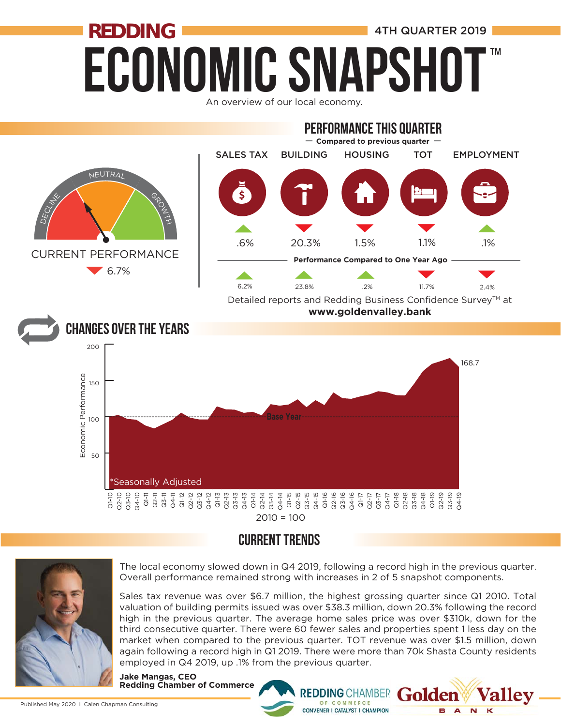### **ECONOMIC SNAPSHO REDDING EXECUTE:** 4TH QUARTER 2019 ™





#### CURRENT TRENDS



The local economy slowed down in Q4 2019, following a record high in the previous quarter. Overall performance remained strong with increases in 2 of 5 snapshot components.

Sales tax revenue was over \$6.7 million, the highest grossing quarter since Q1 2010. Total valuation of building permits issued was over \$38.3 million, down 20.3% following the record high in the previous quarter. The average home sales price was over \$310k, down for the third consecutive quarter. There were 60 fewer sales and properties spent 1 less day on the market when compared to the previous quarter. TOT revenue was over \$1.5 million, down again following a record high in Q1 2019. There were more than 70k Shasta County residents employed in Q4 2019, up .1% from the previous quarter.

**REDDING CHAMBER** 

OF COMMERCE **CONVENER I CATALYST I CHAMPION**  rolden

**B** A

 $\overline{\mathbf{M}}$ 

**Jake Mangas, CEO Redding Chamber of Commerce**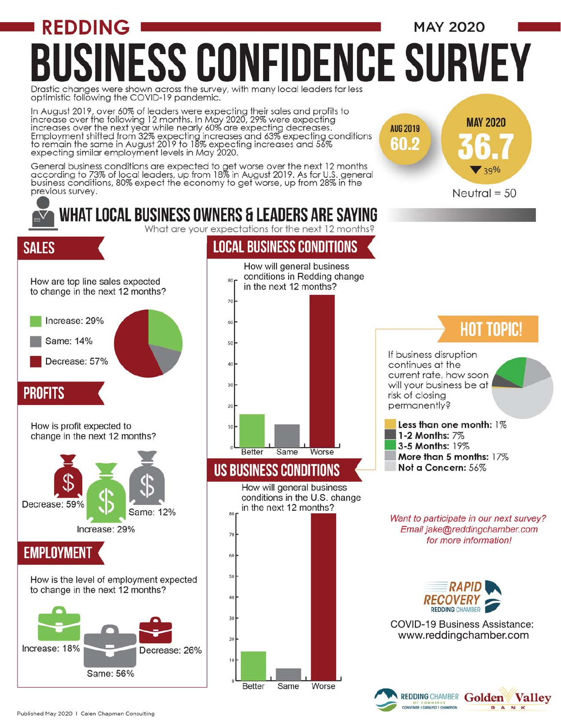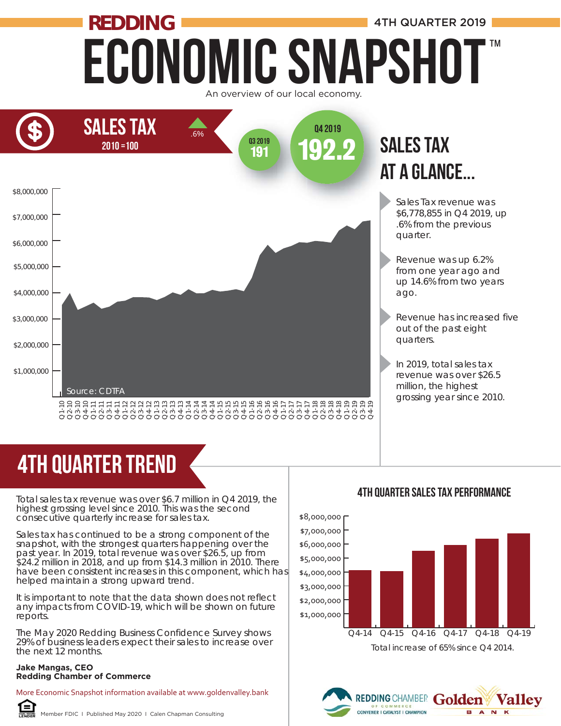### Economic Snapshot **REDDING ALL AND REDDING 4TH QUARTER 2019** ™





# 4TH quarter trend

Total sales tax revenue was over \$6.7 million in Q4 2019, the highest grossing level since 2010. This was the second consecutive quarterly increase for sales tax.

Sales tax has continued to be a strong component of the snapshot, with the strongest quarters happening over the past year. In 2019, total revenue was over \$26.5, up from \$24.2 million in 2018, and up from \$14.3 million in 2010. There have been consistent increases in this component, which has helped maintain a strong upward trend. **Redding Chamber of Commerce**<br> **Redding Chamber of Commence** Consecutive quarterly increase<br>
Sales tax has continued to be as<br>
snapshot, with the strongest quarterly increase<br>
Sales tax has continued to be as<br>
snapshot, wi

It is important to note that the data shown does not reflect any impacts from COVID-19, which will be shown on future reports.

The May 2020 Redding Business Confidence Survey shows 29% of business leaders expect their sales to increase over the next 12 months.

#### **Jake Mangas, CEO**

More Economic Snapshot information available at www.goldenvalley.bank



#### 4TH QUarter Sales Tax Performance



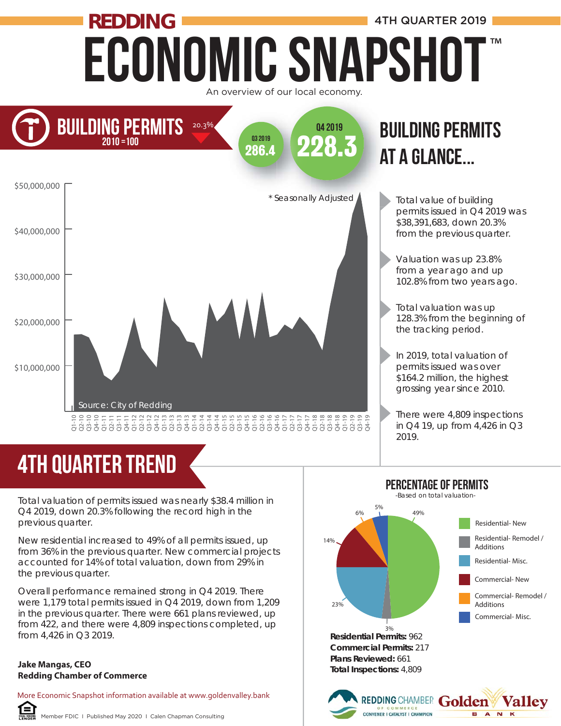### Economic Snapshot **REDDING ALL AND REDDING 4TH QUARTER 2019** An overview of our local economy. ™



# 4th quarter trend

Total valuation of permits issued was nearly \$38.4 million in Q4 2019, down 20.3% following the record high in the previous quarter.

New residential increased to 49% of all permits issued, up from 36% in the previous quarter. New commercial projects accounted for 14% of total valuation, down from 29% in the previous quarter.

Overall performance remained strong in Q4 2019. There were 1,179 total permits issued in Q4 2019, down from 1,209 in the previous quarter. There were 661 plans reviewed, up from 422, and there were 4,809 inspections completed, up from 4,426 in Q3 2019.

#### **Jake Mangas, CEO Redding Chamber of Commerce**

Œ

More Economic Snapshot information available at www.goldenvalley.bank

Member FDIC I Published May 2020 I Calen Chapman Consulting



Total value of building permits issued in Q4 2019 was \$38,391,683, down 20.3% from the previous quarter.

- Valuation was up 23.8% from a year ago and up 102.8% from two years ago.
- Total valuation was up 128.3% from the beginning of the tracking period.
- In 2019, total valuation of permits issued was over \$164.2 million, the highest grossing year since 2010.
	- There were 4,809 inspections in Q4 19, up from 4,426 in Q3 2019.



REDDING CHAMBER Golden

OF COMMERCE<br>CONVENER I CATALYST I CHAMPION

**Valley** 

**BANK**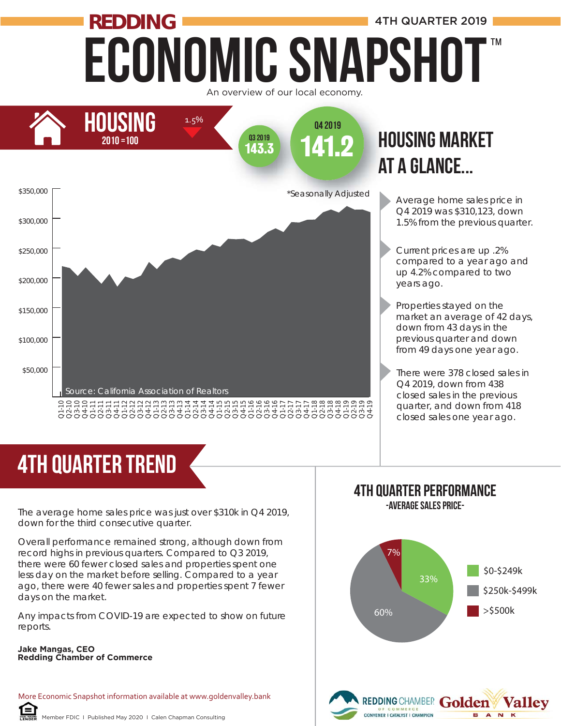### Economic Snapshot **REDDING ALL AND REDDING 4TH QUARTER 2019** An overview of our local economy. ™



# at a glance...

- Average home sales price in Q4 2019 was \$310,123, down 1.5% from the previous quarter.
- Current prices are up .2% compared to a year ago and up 4.2% compared to two years ago.
- Properties stayed on the market an average of 42 days, down from 43 days in the previous quarter and down from 49 days one year ago.
- There were 378 closed sales in Q4 2019, down from 438 closed sales in the previous quarter, and down from 418 closed sales one year ago.

# 4th quarter trend

The average home sales price was just over \$310k in Q4 2019, down for the third consecutive quarter.

Overall performance remained strong, although down from record highs in previous quarters. Compared to Q3 2019, there were 60 fewer closed sales and properties spent one less day on the market before selling. Compared to a year ago, there were 40 fewer sales and properties spent 7 fewer days on the market. **REDDING CHAMBER THE COMMONIT CHAMBER 1988**<br>
The average home sales price<br>
down for the third consecutive<br>
Overall performance remained<br>
record highs in previous quarte<br>
there were 60 fewer closed sal<br>
less day on the mark

Any impacts from COVID-19 are expected to show on future reports.

### **Jake Mangas, CEO**

More Economic Snapshot information available at www.goldenvalley.bank

#### 4th Quarter Performance -Average Sales Price-

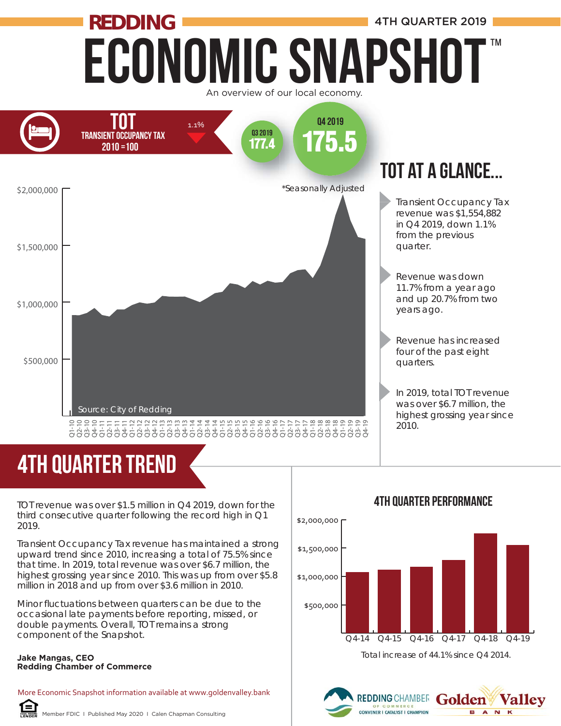### Economic Snapshot **REDDING ALL AND REDDING 4TH QUARTER 2019** An overview of our local economy. ™



# 4th quarter trend

TOT revenue was over \$1.5 million in Q4 2019, down for the third consecutive quarter following the record high in Q1 2019.

Transient Occupancy Tax revenue has maintained a strong upward trend since 2010, increasing a total of 75.5% since that time. In 2019, total revenue was over \$6.7 million, the highest grossing year since 2010. This was up from over \$5.8 million in 2018 and up from over \$3.6 million in 2010.

Minor fluctuations between quarters can be due to the occasional late payments before reporting, missed, or double payments. Overall, TOT remains a strong component of the Snapshot.

#### **Jake Mangas, CEO Redding Chamber of Commerce**

More Economic Snapshot information available at www.goldenvalley.bank



## \$500,000 \$1,000,000 \$1,500,000 \$2,000,000 Q4-14 Q4-15 Q4-16 Q4-17 Q4-18 Q4-19 Total increase of 44.1% since Q4 2014.

#### 4th Quarter Performance